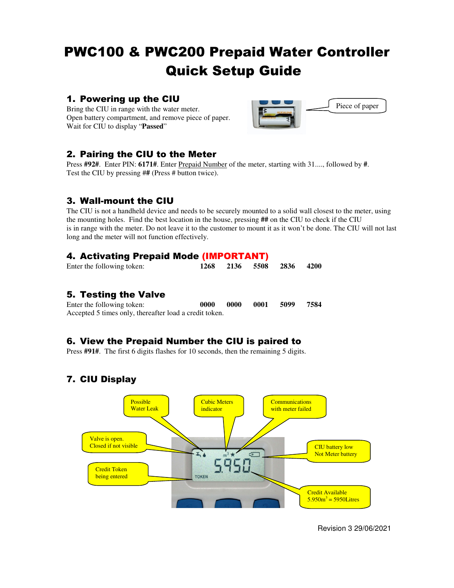## PWC100 & PWC200 Prepaid Water Controller Quick Setup Guide

### 1. Powering up the CIU

Bring the CIU in range with the water meter. Open battery compartment, and remove piece of paper. Wait for CIU to display "**Passed**"



## 2. Pairing the CIU to the Meter

Press **#92#**. Enter PIN: **6171#**. Enter Prepaid Number of the meter, starting with 31...., followed by **#**. Test the CIU by pressing #**#** (Press # button twice).

## 3. Wall-mount the CIU

The CIU is not a handheld device and needs to be securely mounted to a solid wall closest to the meter, using the mounting holes. Find the best location in the house, pressing **##** on the CIU to check if the CIU is in range with the meter. Do not leave it to the customer to mount it as it won't be done. The CIU will not last long and the meter will not function effectively.

## 4. Activating Prepaid Mode (IMPORTANT)

| Enter the following token: |  | 1268 2136 5508 2836 4200 |  |
|----------------------------|--|--------------------------|--|

### 5. Testing the Valve

Enter the following token: **0000 0000 0001 5099 7584**  Accepted 5 times only, thereafter load a credit token.

## 6. View the Prepaid Number the CIU is paired to

Press **#91#**. The first 6 digits flashes for 10 seconds, then the remaining 5 digits.

## 7. CIU Display



Revision 3 29/06/2021